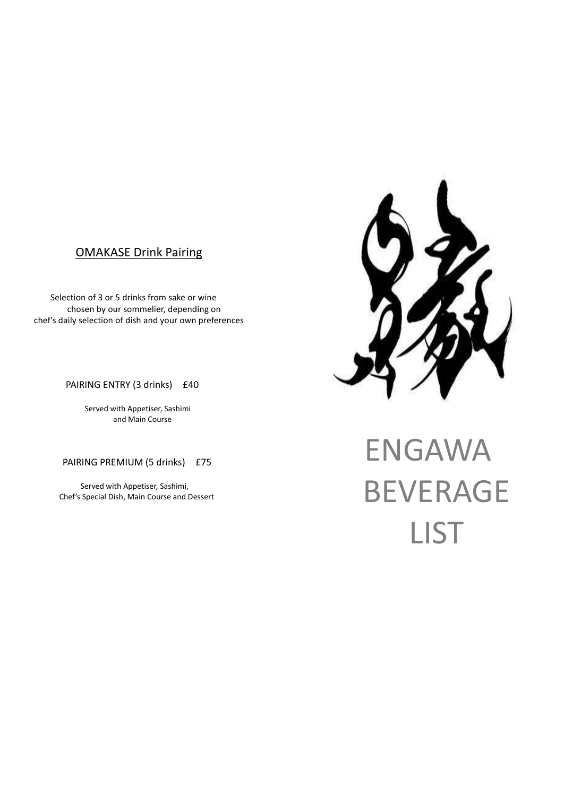## OMAKASE Drink Pairing

Selection of 3 or 5 drinks from sake or wine chosen by our sommelier, depending on chef's daily selection of dish and your own preferences

PAIRING ENTRY (3 drinks) £40

 Served with Appetiser, Sashimi and Main Course

PAIRING PREMIUM (5 drinks) £75

 Served with Appetiser, Sashimi, Chef's Special Dish, Main Course and Dessert

# ENGAWA BEVERAGE LIST

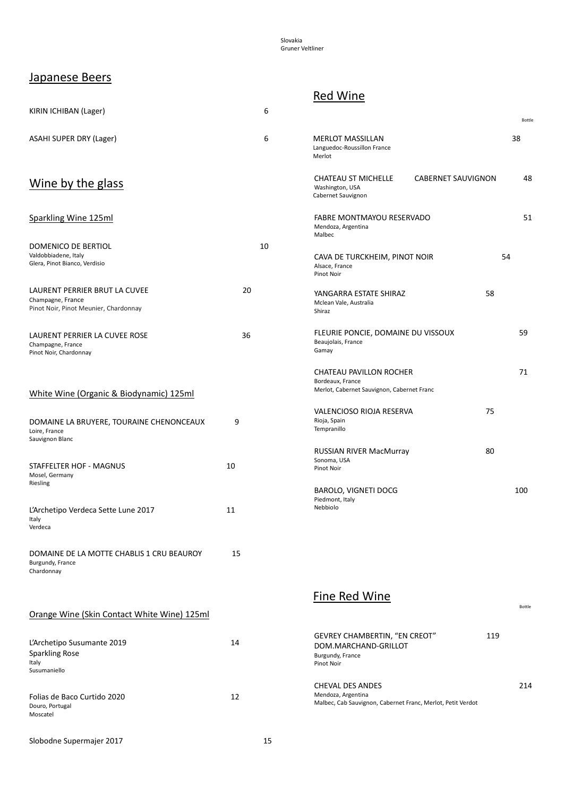Slovakia Gruner Veltliner

#### Japanese Beers

| KIRIN ICHIBAN (Lager)                                                                       |    | 6  |                                                                                                              |     | Bottle |
|---------------------------------------------------------------------------------------------|----|----|--------------------------------------------------------------------------------------------------------------|-----|--------|
| ASAHI SUPER DRY (Lager)                                                                     |    | 6  | <b>MERLOT MASSILLAN</b><br>Languedoc-Roussillon France<br>Merlot                                             | 38  |        |
| Wine by the glass                                                                           |    |    | <b>CABERNET SAUVIGNON</b><br>CHATEAU ST MICHELLE<br>Washington, USA<br>Cabernet Sauvignon                    |     | 48     |
| Sparkling Wine 125ml                                                                        |    |    | FABRE MONTMAYOU RESERVADO<br>Mendoza, Argentina<br>Malbec                                                    |     | 51     |
| DOMENICO DE BERTIOL<br>Valdobbiadene, Italy<br>Glera, Pinot Bianco, Verdisio                |    | 10 | CAVA DE TURCKHEIM, PINOT NOIR<br>Alsace, France<br>Pinot Noir                                                | 54  |        |
| LAURENT PERRIER BRUT LA CUVEE<br>Champagne, France<br>Pinot Noir, Pinot Meunier, Chardonnay | 20 |    | YANGARRA ESTATE SHIRAZ<br>Mclean Vale, Australia<br>Shiraz                                                   | 58  |        |
| LAURENT PERRIER LA CUVEE ROSE<br>Champagne, France<br>Pinot Noir, Chardonnay                | 36 |    | FLEURIE PONCIE, DOMAINE DU VISSOUX<br>Beaujolais, France<br>Gamay                                            |     | 59     |
| White Wine (Organic & Biodynamic) 125ml                                                     |    |    | CHATEAU PAVILLON ROCHER<br>Bordeaux, France<br>Merlot, Cabernet Sauvignon, Cabernet Franc                    |     | 71     |
| DOMAINE LA BRUYERE, TOURAINE CHENONCEAUX<br>Loire, France<br>Sauvignon Blanc                | 9  |    | VALENCIOSO RIOJA RESERVA<br>Rioja, Spain<br>Tempranillo                                                      | 75  |        |
| STAFFELTER HOF - MAGNUS<br>Mosel, Germany<br>Riesling                                       | 10 |    | <b>RUSSIAN RIVER MacMurray</b><br>Sonoma, USA<br>Pinot Noir                                                  | 80  |        |
| L'Archetipo Verdeca Sette Lune 2017<br>Italy<br>Verdeca                                     | 11 |    | <b>BAROLO, VIGNETI DOCG</b><br>Piedmont, Italy<br>Nebbiolo                                                   |     | 100    |
| DOMAINE DE LA MOTTE CHABLIS 1 CRU BEAUROY<br>Burgundy, France<br>Chardonnay                 | 15 |    |                                                                                                              |     |        |
| Orange Wine (Skin Contact White Wine) 125ml                                                 |    |    | <b>Fine Red Wine</b>                                                                                         |     | Bottle |
| L'Archetipo Susumante 2019<br><b>Sparkling Rose</b><br>Italy<br>Susumaniello                | 14 |    | GEVREY CHAMBERTIN, "EN CREOT"<br>DOM.MARCHAND-GRILLOT<br>Burgundy, France<br>Pinot Noir                      | 119 |        |
| Folias de Baco Curtido 2020<br>Douro, Portugal<br>Moscatel                                  | 12 |    | <b>CHEVAL DES ANDES</b><br>Mendoza, Argentina<br>Malbec, Cab Sauvignon, Cabernet Franc, Merlot, Petit Verdot |     | 214    |
| Slobodne Supermajer 2017                                                                    |    | 15 |                                                                                                              |     |        |

#### Red Wine

| MERLOT MASSILLAN<br>Languedoc-Roussillon France<br>Merlot                                 |    |    | 38  |
|-------------------------------------------------------------------------------------------|----|----|-----|
| CHATEAU ST MICHELLE CABERNET SAUVIGNON<br>Washington, USA<br>Cabernet Sauvignon           |    |    | 48  |
| <b>FABRE MONTMAYOU RESERVADO</b><br>Mendoza, Argentina<br>Malbec                          |    |    | 51  |
| CAVA DE TURCKHEIM, PINOT NOIR<br>Alsace, France<br><b>Pinot Noir</b>                      |    | 54 |     |
| YANGARRA ESTATE SHIRAZ<br>Mclean Vale, Australia<br>Shiraz                                | 58 |    |     |
| FLEURIE PONCIE, DOMAINE DU VISSOUX<br>Beaujolais, France<br>Gamay                         |    |    | 59  |
| CHATEAU PAVILLON ROCHER<br>Bordeaux, France<br>Merlot, Cabernet Sauvignon, Cabernet Franc |    |    | 71  |
| VALENCIOSO RIOJA RESERVA<br>Rioja, Spain<br>Tempranillo                                   | 75 |    |     |
| <b>RUSSIAN RIVER MacMurray</b><br>Sonoma, USA<br><b>Pinot Noir</b>                        | 80 |    |     |
| <b>BAROLO, VIGNETI DOCG</b><br>Piedmont, Italy<br>Nebbiolo                                |    |    | 100 |
|                                                                                           |    |    |     |

| 14 | <b>GEVREY CHAMBERTIN, "EN CREOT"</b><br>DOM.MARCHAND-GRILLOT<br>Burgundy, France<br>Pinot Noir        | 119 |     |
|----|-------------------------------------------------------------------------------------------------------|-----|-----|
| 12 | CHEVAL DES ANDES<br>Mendoza, Argentina<br>Malbec, Cab Sauvignon, Cabernet Franc, Merlot, Petit Verdot |     | 214 |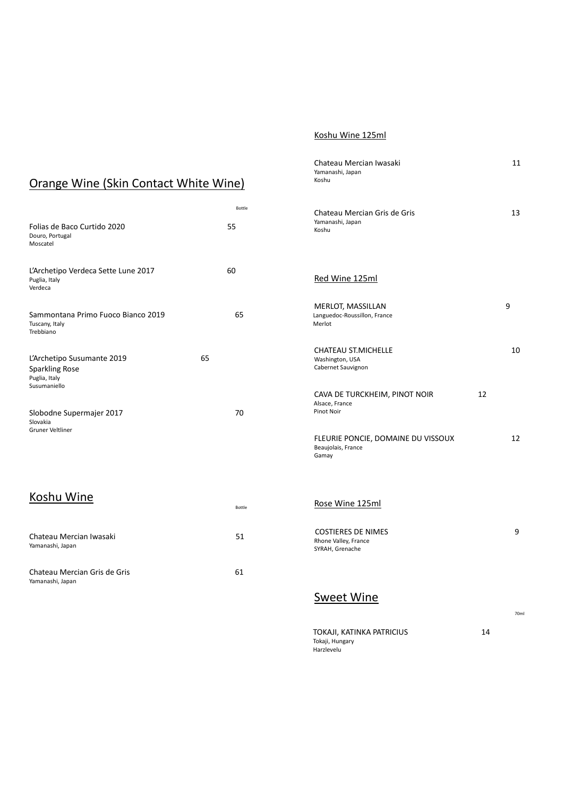#### Koshu Wine 125ml

| Orange Wine (Skin Contact White Wine)                                |              | Chateau Mercian Iwasaki<br>Yamanashi, Japan<br>Koshu                 | 11   |
|----------------------------------------------------------------------|--------------|----------------------------------------------------------------------|------|
| Folias de Baco Curtido 2020<br>Douro, Portugal<br>Moscatel           | Bottle<br>55 | Chateau Mercian Gris de Gris<br>Yamanashi, Japan<br>Koshu            | 13   |
| L'Archetipo Verdeca Sette Lune 2017<br>Puglia, Italy<br>Verdeca      | 60           | Red Wine 125ml                                                       |      |
| Sammontana Primo Fuoco Bianco 2019<br>Tuscany, Italy<br>Trebbiano    | 65           | MERLOT, MASSILLAN<br>Languedoc-Roussillon, France<br>Merlot          | 9    |
| L'Archetipo Susumante 2019<br><b>Sparkling Rose</b><br>Puglia, Italy | 65           | <b>CHATEAU ST.MICHELLE</b><br>Washington, USA<br>Cabernet Sauvignon  | 10   |
| Susumaniello<br>Slobodne Supermajer 2017<br>Slovakia                 | 70           | CAVA DE TURCKHEIM, PINOT NOIR<br>Alsace, France<br>Pinot Noir        | 12   |
| Gruner Veltliner                                                     |              | FLEURIE PONCIE, DOMAINE DU VISSOUX<br>Beaujolais, France<br>Gamay    | 12   |
| Koshu Wine                                                           | Bottle       | Rose Wine 125ml                                                      |      |
| Chateau Mercian Iwasaki<br>Yamanashi, Japan                          | 51           | <b>COSTIERES DE NIMES</b><br>Rhone Valley, France<br>SYRAH, Grenache | 9    |
| Chateau Mercian Gris de Gris<br>Yamanashi, Japan                     | 61           |                                                                      |      |
|                                                                      |              | <b>Sweet Wine</b>                                                    | 70ml |
|                                                                      |              | TOKAJI, KATINKA PATRICIUS                                            | 14   |

Tokaji, Hungary Harzlevelu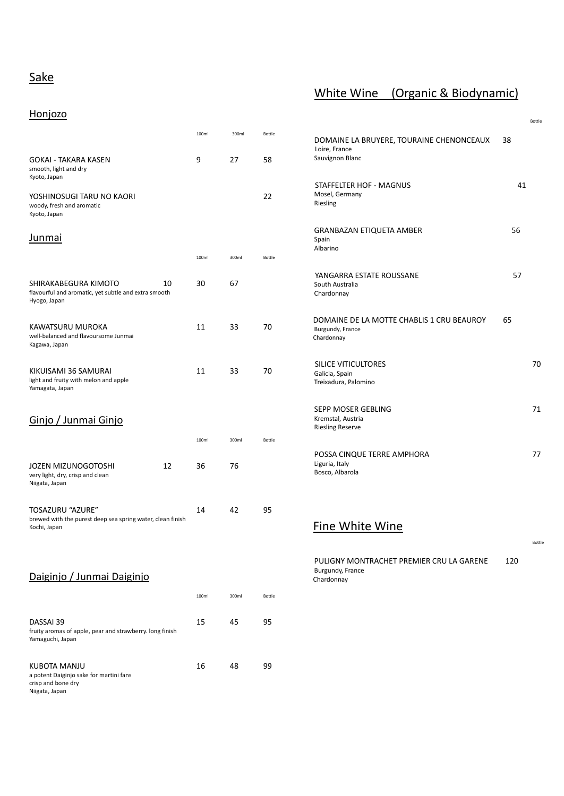# **Sake**

## White Wine (Organic & Biodynamic)

#### Honjozo

| <u></u>                                                                                            |       |       |        |                                                                             |     | Bottle |
|----------------------------------------------------------------------------------------------------|-------|-------|--------|-----------------------------------------------------------------------------|-----|--------|
|                                                                                                    | 100ml | 300ml | Bottle | DOMAINE LA BRUYERE, TOURAINE CHENONCEAUX<br>Loire, France                   | 38  |        |
| <b>GOKAI - TAKARA KASEN</b><br>smooth, light and dry<br>Kyoto, Japan                               | 9     | 27    | 58     | Sauvignon Blanc                                                             |     |        |
| YOSHINOSUGI TARU NO KAORI<br>woody, fresh and aromatic<br>Kyoto, Japan                             |       |       | 22     | STAFFELTER HOF - MAGNUS<br>Mosel, Germany<br>Riesling                       | 41  |        |
| Junmai                                                                                             |       |       |        | <b>GRANBAZAN ETIQUETA AMBER</b><br>Spain<br>Albarino                        | 56  |        |
|                                                                                                    | 100ml | 300ml | Bottle |                                                                             |     |        |
| SHIRAKABEGURA KIMOTO<br>10<br>flavourful and aromatic, yet subtle and extra smooth<br>Hyogo, Japan | 30    | 67    |        | YANGARRA ESTATE ROUSSANE<br>South Australia<br>Chardonnay                   | 57  |        |
| KAWATSURU MUROKA<br>well-balanced and flavoursome Junmai<br>Kagawa, Japan                          | 11    | 33    | 70     | DOMAINE DE LA MOTTE CHABLIS 1 CRU BEAUROY<br>Burgundy, France<br>Chardonnay | 65  |        |
| KIKUISAMI 36 SAMURAI<br>light and fruity with melon and apple<br>Yamagata, Japan                   | 11    | 33    | 70     | SILICE VITICULTORES<br>Galicia, Spain<br>Treixadura, Palomino               |     | 70     |
| Ginjo / Junmai Ginjo                                                                               |       |       |        | SEPP MOSER GEBLING<br>Kremstal, Austria<br><b>Riesling Reserve</b>          |     | 71     |
|                                                                                                    | 100ml | 300ml | Bottle |                                                                             |     |        |
| <b>JOZEN MIZUNOGOTOSHI</b><br>12<br>very light, dry, crisp and clean<br>Niigata, Japan             | 36    | 76    |        | POSSA CINQUE TERRE AMPHORA<br>Liguria, Italy<br>Bosco, Albarola             |     | 77     |
| TOSAZURU "AZURE"<br>brewed with the purest deep sea spring water, clean finish                     | 14    | 42    | 95     |                                                                             |     |        |
| Kochi, Japan                                                                                       |       |       |        | Fine White Wine                                                             |     |        |
|                                                                                                    |       |       |        |                                                                             |     | Bottle |
| Daiginjo / Junmai Daiginjo                                                                         |       |       |        | PULIGNY MONTRACHET PREMIER CRU LA GARENE<br>Burgundy, France<br>Chardonnay  | 120 |        |
|                                                                                                    | 100ml | 300ml | Bottle |                                                                             |     |        |
| DASSAI 39<br>fruity aromas of apple, pear and strawberry. long finish<br>Yamaguchi, Japan          | 15    | 45    | 95     |                                                                             |     |        |
| KUBOTA MANJU<br>a potent Daiginjo sake for martini fans<br>crisp and bone dry<br>Niigata, Japan    | 16    | 48    | 99     |                                                                             |     |        |
|                                                                                                    |       |       |        |                                                                             |     |        |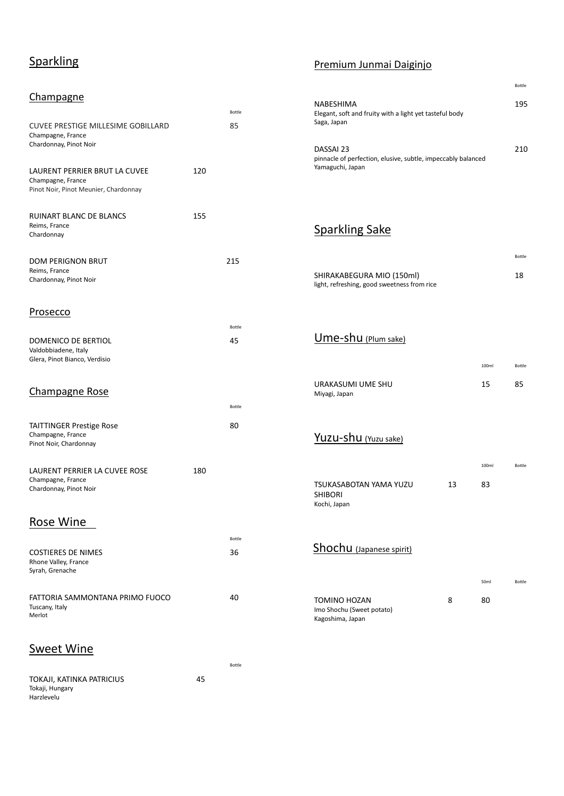# **Sparkling**

#### **Champagne**

| <b>CUVEE PRESTIGE MILLESIME GOBILLARD</b><br>Champagne, France<br>Chardonnay, Pinot Noir    |     | Bottle<br>85 |
|---------------------------------------------------------------------------------------------|-----|--------------|
| LAURENT PERRIER BRUT LA CUVEE<br>Champagne, France<br>Pinot Noir, Pinot Meunier, Chardonnay | 120 |              |
| RUINART BLANC DE BLANCS<br>Reims, France<br>Chardonnay                                      | 155 |              |
| <b>DOM PERIGNON BRUT</b><br>Reims, France<br>Chardonnay, Pinot Noir                         |     | 215          |
| <u>Prosecco</u>                                                                             |     | Bottle       |
| DOMENICO DE BERTIOL<br>Valdobbiadene, Italy<br>Glera, Pinot Bianco, Verdisio                |     | 45           |
| Champagne Rose                                                                              |     | Bottle       |
| TAITTINGER Prestige Rose<br>Champagne, France<br>Pinot Noir, Chardonnay                     |     | 80           |
| LAURENT PERRIER LA CUVEE ROSE<br>Champagne, France<br>Chardonnay, Pinot Noir                | 180 |              |
| Rose Wine                                                                                   |     |              |
| <b>COSTIERES DE NIMES</b><br>Rhone Valley, France<br>Syrah, Grenache                        |     | Bottle<br>36 |

#### Premium Junmai Daiginjo

| NABESHIMA<br>Elegant, soft and fruity with a light yet tasteful body<br>Saga, Japan           | 195 |
|-----------------------------------------------------------------------------------------------|-----|
| DASSAI 23<br>pinnacle of perfection, elusive, subtle, impeccably balanced<br>Yamaguchi, Japan | 210 |

Bottle

# Sparkling Sake

|                                                                          |    |             | Bottle       |
|--------------------------------------------------------------------------|----|-------------|--------------|
| SHIRAKABEGURA MIO (150ml)<br>light, refreshing, good sweetness from rice |    |             | 18           |
| Ume-shu (Plum sake)                                                      |    |             |              |
| URAKASUMI UME SHU<br>Miyagi, Japan                                       |    | 100ml<br>15 | Bottle<br>85 |
| Yuzu-shu (Yuzu sake)                                                     |    |             |              |
| <b>TSUKASABOTAN YAMA YUZU</b><br><b>SHIBORI</b><br>Kochi, Japan          | 13 | 100ml<br>83 | Bottle       |
| <b>Shochu</b> (Japanese spirit)                                          |    |             |              |
|                                                                          |    | 50ml        | Bottle       |
| TOMINO HOZAN<br>Imo Shochu (Sweet potato)<br>Kagoshima, Japan            | 8  | 80          |              |

#### Sweet Wine

Tuscany, Italy Merlot

| TOKAJI, KATINKA PATRICIUS | 45 |
|---------------------------|----|
| Tokaji, Hungary           |    |
| Harzlevelu                |    |

Bottle

FATTORIA SAMMONTANA PRIMO FUOCO 40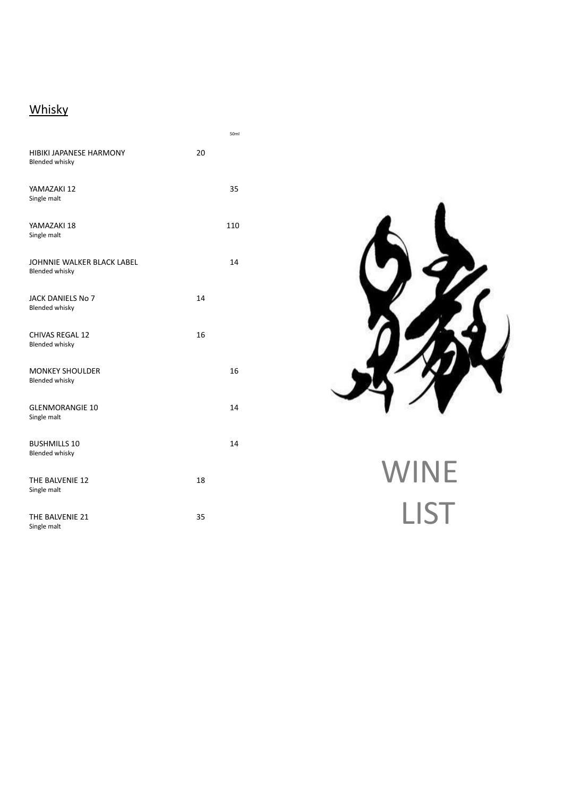# **Whisky**

|                                                     |    | 50ml |
|-----------------------------------------------------|----|------|
| HIBIKI JAPANESE HARMONY<br><b>Blended whisky</b>    | 20 |      |
| YAMAZAKI 12<br>Single malt                          |    | 35   |
| YAMAZAKI 18<br>Single malt                          |    | 110  |
| JOHNNIE WALKER BLACK LABEL<br><b>Blended whisky</b> |    | 14   |
| JACK DANIELS No 7<br><b>Blended whisky</b>          | 14 |      |
| <b>CHIVAS REGAL 12</b><br><b>Blended whisky</b>     | 16 |      |
| <b>MONKEY SHOULDER</b><br><b>Blended whisky</b>     |    | 16   |
| <b>GLENMORANGIE 10</b><br>Single malt               |    | 14   |
| <b>BUSHMILLS 10</b><br><b>Blended whisky</b>        |    | 14   |
| THE BALVENIE 12<br>Single malt                      | 18 |      |
| THE BALVENIE 21<br>Single malt                      | 35 |      |



# WINE LIST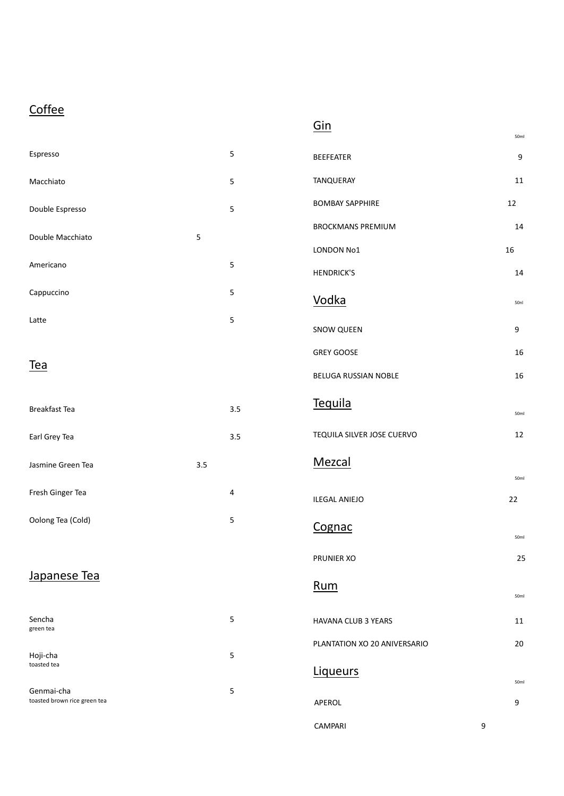# **Coffee**

|--|--|--|--|--|--|

50ml

| Espresso                                   |     | $\mathsf S$             | <b>BEEFEATER</b>             |                  | 9      |
|--------------------------------------------|-----|-------------------------|------------------------------|------------------|--------|
| Macchiato                                  |     | $\sqrt{5}$              | TANQUERAY                    |                  | $11\,$ |
| Double Espresso                            |     | $\sqrt{5}$              | <b>BOMBAY SAPPHIRE</b>       | 12               |        |
| Double Macchiato                           | 5   |                         | <b>BROCKMANS PREMIUM</b>     |                  | 14     |
|                                            |     |                         | LONDON No1                   | 16               |        |
| Americano                                  |     | $\mathsf S$             | <b>HENDRICK'S</b>            |                  | 14     |
| Cappuccino                                 |     | 5                       | <b>Vodka</b>                 |                  | 50nl   |
| Latte                                      |     | $\sqrt{5}$              | SNOW QUEEN                   |                  | 9      |
|                                            |     |                         | <b>GREY GOOSE</b>            |                  | 16     |
| <b>Tea</b>                                 |     |                         | BELUGA RUSSIAN NOBLE         |                  | 16     |
| Breakfast Tea                              |     | 3.5                     | Tequila                      |                  | 50ml   |
| Earl Grey Tea                              |     | 3.5                     | TEQUILA SILVER JOSE CUERVO   |                  | 12     |
| Jasmine Green Tea                          | 3.5 |                         | Mezcal                       |                  |        |
|                                            |     |                         |                              |                  | 50ml   |
| Fresh Ginger Tea                           |     | 4                       | <b>ILEGAL ANIEJO</b>         | 22               |        |
| Oolong Tea (Cold)                          |     | $\mathsf S$             | Cognac                       |                  | 50ml   |
|                                            |     |                         | PRUNIER XO                   |                  | 25     |
| Japanese Tea                               |     |                         | Rum                          |                  | 50ml   |
| Sencha                                     |     | $\overline{\mathbf{5}}$ | HAVANA CLUB 3 YEARS          |                  | 11     |
| green tea                                  |     |                         |                              |                  |        |
| Hoji-cha                                   |     | 5                       | PLANTATION XO 20 ANIVERSARIO |                  | 20     |
| toasted tea                                |     |                         | <b>Liqueurs</b>              |                  | 50ml   |
| Genmai-cha<br>toasted brown rice green tea |     | 5                       | APEROL                       |                  | 9      |
|                                            |     |                         | CAMPARI                      | $\boldsymbol{9}$ |        |